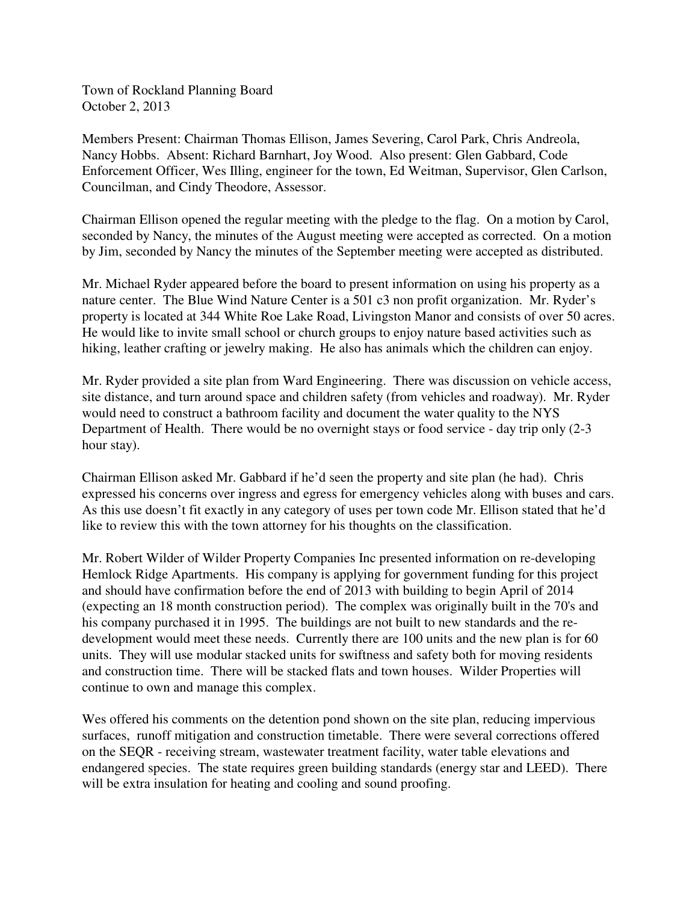Town of Rockland Planning Board October 2, 2013

Members Present: Chairman Thomas Ellison, James Severing, Carol Park, Chris Andreola, Nancy Hobbs. Absent: Richard Barnhart, Joy Wood. Also present: Glen Gabbard, Code Enforcement Officer, Wes Illing, engineer for the town, Ed Weitman, Supervisor, Glen Carlson, Councilman, and Cindy Theodore, Assessor.

Chairman Ellison opened the regular meeting with the pledge to the flag. On a motion by Carol, seconded by Nancy, the minutes of the August meeting were accepted as corrected. On a motion by Jim, seconded by Nancy the minutes of the September meeting were accepted as distributed.

Mr. Michael Ryder appeared before the board to present information on using his property as a nature center. The Blue Wind Nature Center is a 501 c3 non profit organization. Mr. Ryder's property is located at 344 White Roe Lake Road, Livingston Manor and consists of over 50 acres. He would like to invite small school or church groups to enjoy nature based activities such as hiking, leather crafting or jewelry making. He also has animals which the children can enjoy.

Mr. Ryder provided a site plan from Ward Engineering. There was discussion on vehicle access, site distance, and turn around space and children safety (from vehicles and roadway). Mr. Ryder would need to construct a bathroom facility and document the water quality to the NYS Department of Health. There would be no overnight stays or food service - day trip only (2-3 hour stay).

Chairman Ellison asked Mr. Gabbard if he'd seen the property and site plan (he had). Chris expressed his concerns over ingress and egress for emergency vehicles along with buses and cars. As this use doesn't fit exactly in any category of uses per town code Mr. Ellison stated that he'd like to review this with the town attorney for his thoughts on the classification.

Mr. Robert Wilder of Wilder Property Companies Inc presented information on re-developing Hemlock Ridge Apartments. His company is applying for government funding for this project and should have confirmation before the end of 2013 with building to begin April of 2014 (expecting an 18 month construction period). The complex was originally built in the 70's and his company purchased it in 1995. The buildings are not built to new standards and the redevelopment would meet these needs. Currently there are 100 units and the new plan is for 60 units. They will use modular stacked units for swiftness and safety both for moving residents and construction time. There will be stacked flats and town houses. Wilder Properties will continue to own and manage this complex.

Wes offered his comments on the detention pond shown on the site plan, reducing impervious surfaces, runoff mitigation and construction timetable. There were several corrections offered on the SEQR - receiving stream, wastewater treatment facility, water table elevations and endangered species. The state requires green building standards (energy star and LEED). There will be extra insulation for heating and cooling and sound proofing.